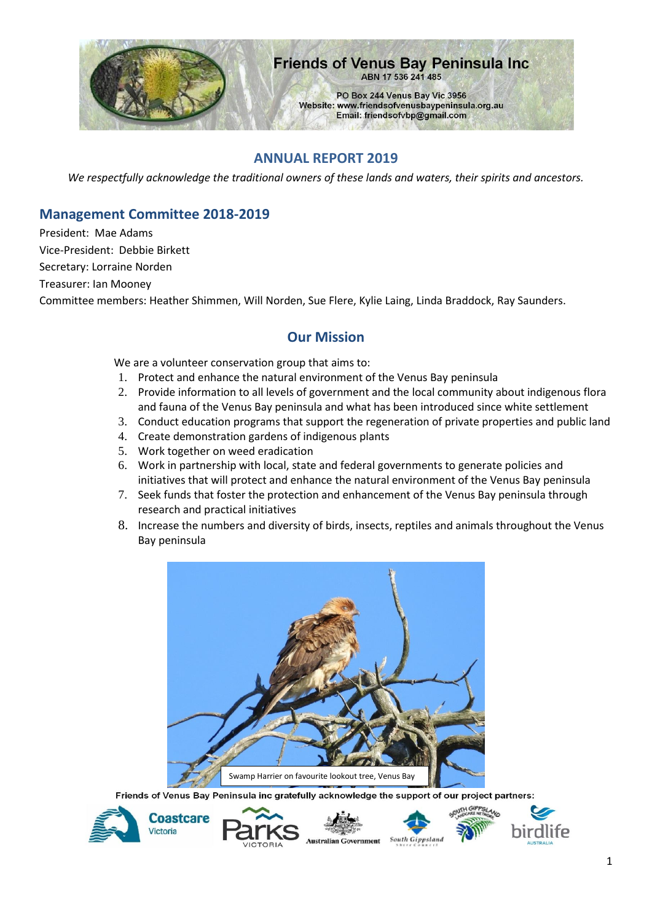

#### **Friends of Venus Bay Peninsula Inc.** ABN 17 536 241 485

PO Box 244 Venus Bay Vic 3956 Website: www.friendsofvenusbaypeninsula.org.au Email: friendsofvbp@gmail.com

### **ANNUAL REPORT 2019**

*We respectfully acknowledge the traditional owners of these lands and waters, their spirits and ancestors.*

### **Management Committee 2018-2019**

President: Mae Adams Vice-President: Debbie Birkett Secretary: Lorraine Norden Treasurer: Ian Mooney Committee members: Heather Shimmen, Will Norden, Sue Flere, Kylie Laing, Linda Braddock, Ray Saunders.

### **Our Mission**

We are a volunteer conservation group that aims to:

- 1. Protect and enhance the natural environment of the Venus Bay peninsula
- 2. Provide information to all levels of government and the local community about indigenous flora and fauna of the Venus Bay peninsula and what has been introduced since white settlement
- 3. Conduct education programs that support the regeneration of private properties and public land
- 4. Create demonstration gardens of indigenous plants
- 5. Work together on weed eradication
- 6. Work in partnership with local, state and federal governments to generate policies and initiatives that will protect and enhance the natural environment of the Venus Bay peninsula
- 7. Seek funds that foster the protection and enhancement of the Venus Bay peninsula through research and practical initiatives
- 8. Increase the numbers and diversity of birds, insects, reptiles and animals throughout the Venus Bay peninsula



Friends of Venus Bay Peninsula inc gratefully acknowledge the support of our project partners:









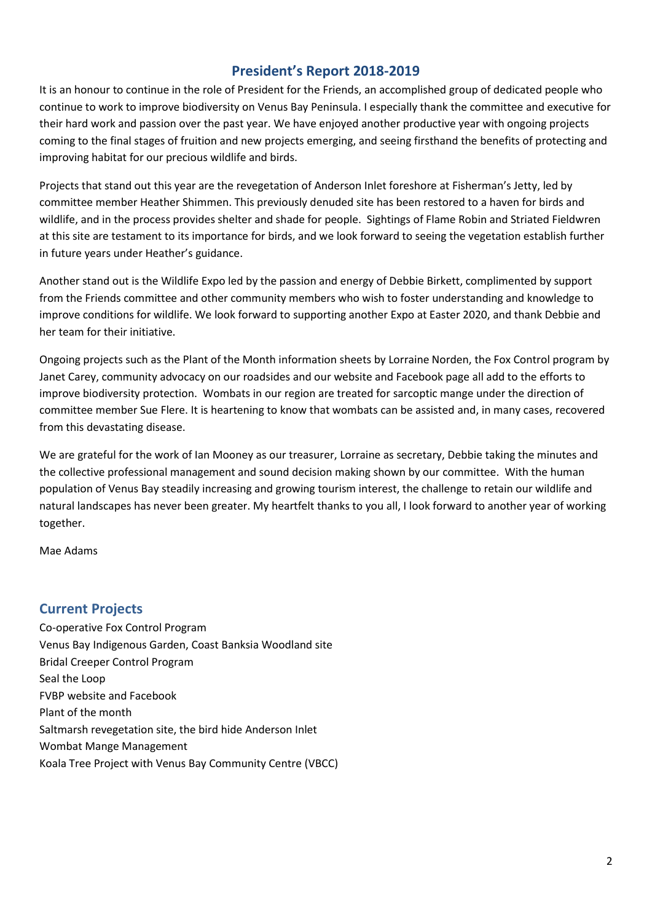## **President's Report 2018-2019**

It is an honour to continue in the role of President for the Friends, an accomplished group of dedicated people who continue to work to improve biodiversity on Venus Bay Peninsula. I especially thank the committee and executive for their hard work and passion over the past year. We have enjoyed another productive year with ongoing projects coming to the final stages of fruition and new projects emerging, and seeing firsthand the benefits of protecting and improving habitat for our precious wildlife and birds.

Projects that stand out this year are the revegetation of Anderson Inlet foreshore at Fisherman's Jetty, led by committee member Heather Shimmen. This previously denuded site has been restored to a haven for birds and wildlife, and in the process provides shelter and shade for people. Sightings of Flame Robin and Striated Fieldwren at this site are testament to its importance for birds, and we look forward to seeing the vegetation establish further in future years under Heather's guidance.

Another stand out is the Wildlife Expo led by the passion and energy of Debbie Birkett, complimented by support from the Friends committee and other community members who wish to foster understanding and knowledge to improve conditions for wildlife. We look forward to supporting another Expo at Easter 2020, and thank Debbie and her team for their initiative.

Ongoing projects such as the Plant of the Month information sheets by Lorraine Norden, the Fox Control program by Janet Carey, community advocacy on our roadsides and our website and Facebook page all add to the efforts to improve biodiversity protection. Wombats in our region are treated for sarcoptic mange under the direction of committee member Sue Flere. It is heartening to know that wombats can be assisted and, in many cases, recovered from this devastating disease.

We are grateful for the work of Ian Mooney as our treasurer, Lorraine as secretary, Debbie taking the minutes and the collective professional management and sound decision making shown by our committee. With the human population of Venus Bay steadily increasing and growing tourism interest, the challenge to retain our wildlife and natural landscapes has never been greater. My heartfelt thanks to you all, I look forward to another year of working together.

Mae Adams

### **Current Projects**

Co-operative Fox Control Program Venus Bay Indigenous Garden, Coast Banksia Woodland site Bridal Creeper Control Program Seal the Loop FVBP website and Facebook Plant of the month Saltmarsh revegetation site, the bird hide Anderson Inlet Wombat Mange Management Koala Tree Project with Venus Bay Community Centre (VBCC)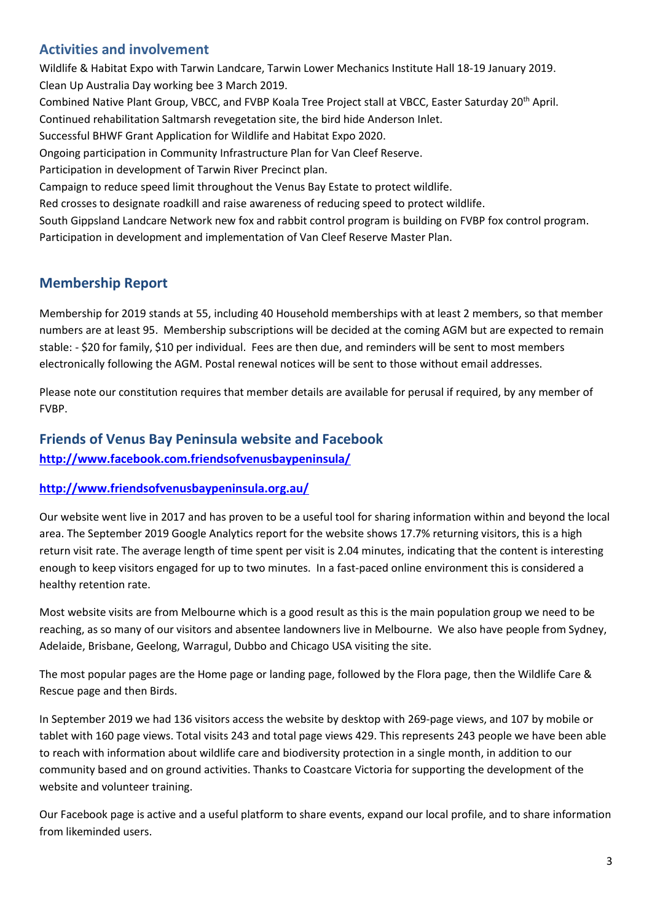## **Activities and involvement**

Wildlife & Habitat Expo with Tarwin Landcare, Tarwin Lower Mechanics Institute Hall 18-19 January 2019. Clean Up Australia Day working bee 3 March 2019. Combined Native Plant Group, VBCC, and FVBP Koala Tree Project stall at VBCC, Easter Saturday 20<sup>th</sup> April. Continued rehabilitation Saltmarsh revegetation site, the bird hide Anderson Inlet. Successful BHWF Grant Application for Wildlife and Habitat Expo 2020. Ongoing participation in Community Infrastructure Plan for Van Cleef Reserve. Participation in development of Tarwin River Precinct plan. Campaign to reduce speed limit throughout the Venus Bay Estate to protect wildlife. Red crosses to designate roadkill and raise awareness of reducing speed to protect wildlife. South Gippsland Landcare Network new fox and rabbit control program is building on FVBP fox control program. Participation in development and implementation of Van Cleef Reserve Master Plan.

## **Membership Report**

Membership for 2019 stands at 55, including 40 Household memberships with at least 2 members, so that member numbers are at least 95. Membership subscriptions will be decided at the coming AGM but are expected to remain stable: - \$20 for family, \$10 per individual. Fees are then due, and reminders will be sent to most members electronically following the AGM. Postal renewal notices will be sent to those without email addresses.

Please note our constitution requires that member details are available for perusal if required, by any member of FVBP.

# **Friends of Venus Bay Peninsula website and Facebook <http://www.facebook.com.friendsofvenusbaypeninsula/>**

#### **<http://www.friendsofvenusbaypeninsula.org.au/>**

Our website went live in 2017 and has proven to be a useful tool for sharing information within and beyond the local area. The September 2019 Google Analytics report for the website shows 17.7% returning visitors, this is a high return visit rate. The average length of time spent per visit is 2.04 minutes, indicating that the content is interesting enough to keep visitors engaged for up to two minutes. In a fast-paced online environment this is considered a healthy retention rate.

Most website visits are from Melbourne which is a good result as this is the main population group we need to be reaching, as so many of our visitors and absentee landowners live in Melbourne. We also have people from Sydney, Adelaide, Brisbane, Geelong, Warragul, Dubbo and Chicago USA visiting the site.

The most popular pages are the Home page or landing page, followed by the Flora page, then the Wildlife Care & Rescue page and then Birds.

In September 2019 we had 136 visitors access the website by desktop with 269-page views, and 107 by mobile or tablet with 160 page views. Total visits 243 and total page views 429. This represents 243 people we have been able to reach with information about wildlife care and biodiversity protection in a single month, in addition to our community based and on ground activities. Thanks to Coastcare Victoria for supporting the development of the website and volunteer training.

Our Facebook page is active and a useful platform to share events, expand our local profile, and to share information from likeminded users.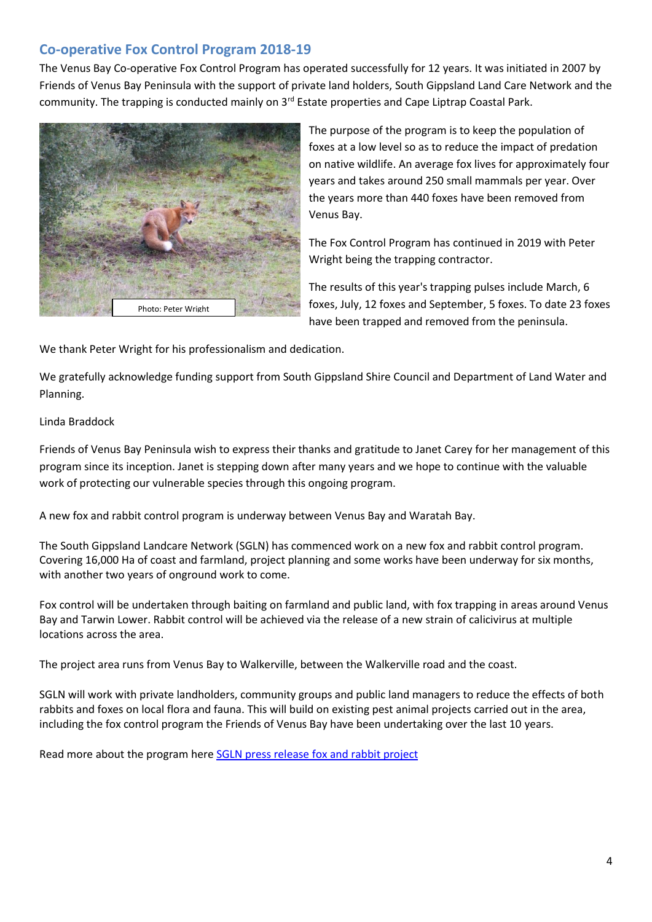## **Co-operative Fox Control Program 2018-19**

The Venus Bay Co-operative Fox Control Program has operated successfully for 12 years. It was initiated in 2007 by Friends of Venus Bay Peninsula with the support of private land holders, South Gippsland Land Care Network and the community. The trapping is conducted mainly on 3rd Estate properties and Cape Liptrap Coastal Park.



The purpose of the program is to keep the population of foxes at a low level so as to reduce the impact of predation on native wildlife. An average fox lives for approximately four years and takes around 250 small mammals per year. Over the years more than 440 foxes have been removed from Venus Bay.

The Fox Control Program has continued in 2019 with Peter Wright being the trapping contractor.

The results of this year's trapping pulses include March, 6 foxes, July, 12 foxes and September, 5 foxes. To date 23 foxes have been trapped and removed from the peninsula.

We thank Peter Wright for his professionalism and dedication.

We gratefully acknowledge funding support from South Gippsland Shire Council and Department of Land Water and Planning.

#### Linda Braddock

Friends of Venus Bay Peninsula wish to express their thanks and gratitude to Janet Carey for her management of this program since its inception. Janet is stepping down after many years and we hope to continue with the valuable work of protecting our vulnerable species through this ongoing program.

A new fox and rabbit control program is underway between Venus Bay and Waratah Bay.

The South Gippsland Landcare Network (SGLN) has commenced work on a new fox and rabbit control program. Covering 16,000 Ha of coast and farmland, project planning and some works have been underway for six months, with another two years of onground work to come.

Fox control will be undertaken through baiting on farmland and public land, with fox trapping in areas around Venus Bay and Tarwin Lower. Rabbit control will be achieved via the release of a new strain of calicivirus at multiple locations across the area.

The project area runs from Venus Bay to Walkerville, between the Walkerville road and the coast.

SGLN will work with private landholders, community groups and public land managers to reduce the effects of both rabbits and foxes on local flora and fauna. This will build on existing pest animal projects carried out in the area, including the fox control program the Friends of Venus Bay have been undertaking over the last 10 years.

Read more about the program here [SGLN press release fox and rabbit project](https://friendsofvenusbaypeninsula.org.au/wp-content/uploads/2019/08/SGLN-press-release-fox-and-rabbit-project.pdf)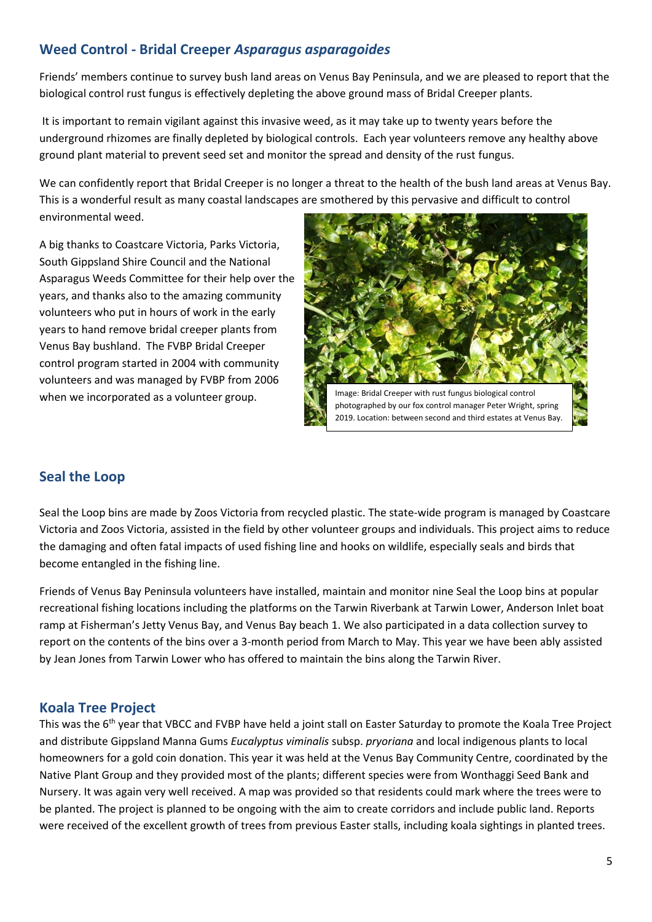## **Weed Control - Bridal Creeper** *Asparagus asparagoides*

Friends' members continue to survey bush land areas on Venus Bay Peninsula, and we are pleased to report that the biological control rust fungus is effectively depleting the above ground mass of Bridal Creeper plants.

It is important to remain vigilant against this invasive weed, as it may take up to twenty years before the underground rhizomes are finally depleted by biological controls. Each year volunteers remove any healthy above ground plant material to prevent seed set and monitor the spread and density of the rust fungus.

We can confidently report that Bridal Creeper is no longer a threat to the health of the bush land areas at Venus Bay. This is a wonderful result as many coastal landscapes are smothered by this pervasive and difficult to control environmental weed.

A big thanks to Coastcare Victoria, Parks Victoria, South Gippsland Shire Council and the National Asparagus Weeds Committee for their help over the years, and thanks also to the amazing community volunteers who put in hours of work in the early years to hand remove bridal creeper plants from Venus Bay bushland. The FVBP Bridal Creeper control program started in 2004 with community volunteers and was managed by FVBP from 2006 when we incorporated as a volunteer group.



## **Seal the Loop**

Seal the Loop bins are made by Zoos Victoria from recycled plastic. The state-wide program is managed by Coastcare Victoria and Zoos Victoria, assisted in the field by other volunteer groups and individuals. This project aims to reduce the damaging and often fatal impacts of used fishing line and hooks on wildlife, especially seals and birds that become entangled in the fishing line.

Friends of Venus Bay Peninsula volunteers have installed, maintain and monitor nine Seal the Loop bins at popular recreational fishing locations including the platforms on the Tarwin Riverbank at Tarwin Lower, Anderson Inlet boat ramp at Fisherman's Jetty Venus Bay, and Venus Bay beach 1. We also participated in a data collection survey to report on the contents of the bins over a 3-month period from March to May. This year we have been ably assisted by Jean Jones from Tarwin Lower who has offered to maintain the bins along the Tarwin River.

### **Koala Tree Project**

This was the 6<sup>th</sup> year that VBCC and FVBP have held a joint stall on Easter Saturday to promote the Koala Tree Project and distribute Gippsland Manna Gums *Eucalyptus viminalis* subsp. *pryoriana* and local indigenous plants to local homeowners for a gold coin donation. This year it was held at the Venus Bay Community Centre, coordinated by the Native Plant Group and they provided most of the plants; different species were from Wonthaggi Seed Bank and Nursery. It was again very well received. A map was provided so that residents could mark where the trees were to be planted. The project is planned to be ongoing with the aim to create corridors and include public land. Reports were received of the excellent growth of trees from previous Easter stalls, including koala sightings in planted trees.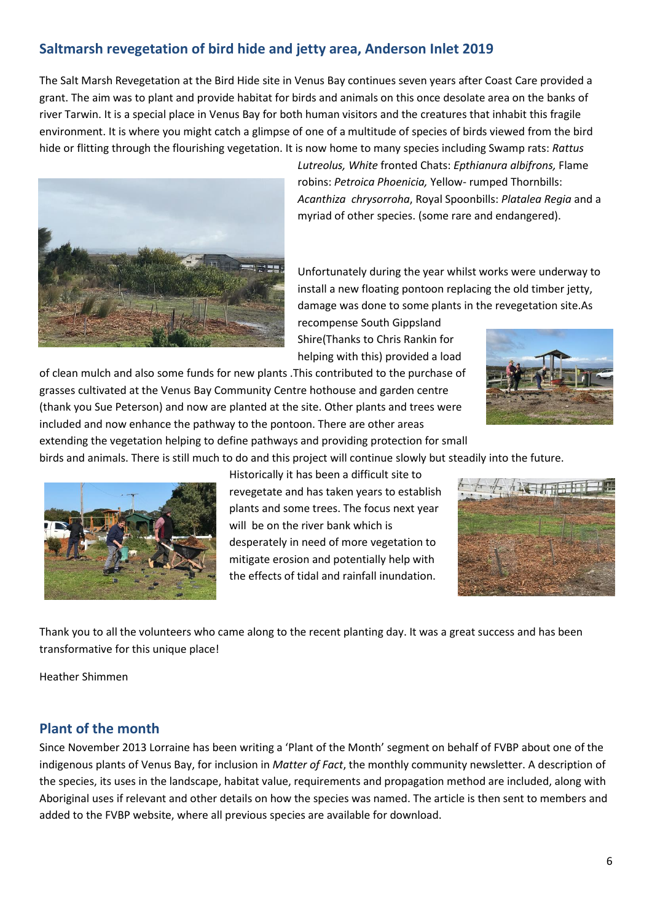# **Saltmarsh revegetation of bird hide and jetty area, Anderson Inlet 2019**

The Salt Marsh Revegetation at the Bird Hide site in Venus Bay continues seven years after Coast Care provided a grant. The aim was to plant and provide habitat for birds and animals on this once desolate area on the banks of river Tarwin. It is a special place in Venus Bay for both human visitors and the creatures that inhabit this fragile environment. It is where you might catch a glimpse of one of a multitude of species of birds viewed from the bird hide or flitting through the flourishing vegetation. It is now home to many species including Swamp rats: *Rattus*



*Lutreolus, White* fronted Chats: *Epthianura albifrons,* Flame robins: *Petroica Phoenicia,* Yellow- rumped Thornbills: *Acanthiza chrysorroha*, Royal Spoonbills: *Platalea Regia* and a myriad of other species. (some rare and endangered).

Unfortunately during the year whilst works were underway to install a new floating pontoon replacing the old timber jetty, damage was done to some plants in the revegetation site.As

recompense South Gippsland Shire(Thanks to Chris Rankin for helping with this) provided a load

of clean mulch and also some funds for new plants .This contributed to the purchase of grasses cultivated at the Venus Bay Community Centre hothouse and garden centre (thank you Sue Peterson) and now are planted at the site. Other plants and trees were included and now enhance the pathway to the pontoon. There are other areas



extending the vegetation helping to define pathways and providing protection for small birds and animals. There is still much to do and this project will continue slowly but steadily into the future.



Historically it has been a difficult site to revegetate and has taken years to establish plants and some trees. The focus next year will be on the river bank which is desperately in need of more vegetation to mitigate erosion and potentially help with the effects of tidal and rainfall inundation.



Thank you to all the volunteers who came along to the recent planting day. It was a great success and has been transformative for this unique place!

Heather Shimmen

### **Plant of the month**

Since November 2013 Lorraine has been writing a 'Plant of the Month' segment on behalf of FVBP about one of the indigenous plants of Venus Bay, for inclusion in *Matter of Fact*, the monthly community newsletter. A description of the species, its uses in the landscape, habitat value, requirements and propagation method are included, along with Aboriginal uses if relevant and other details on how the species was named. The article is then sent to members and added to the FVBP website, where all previous species are available for download.